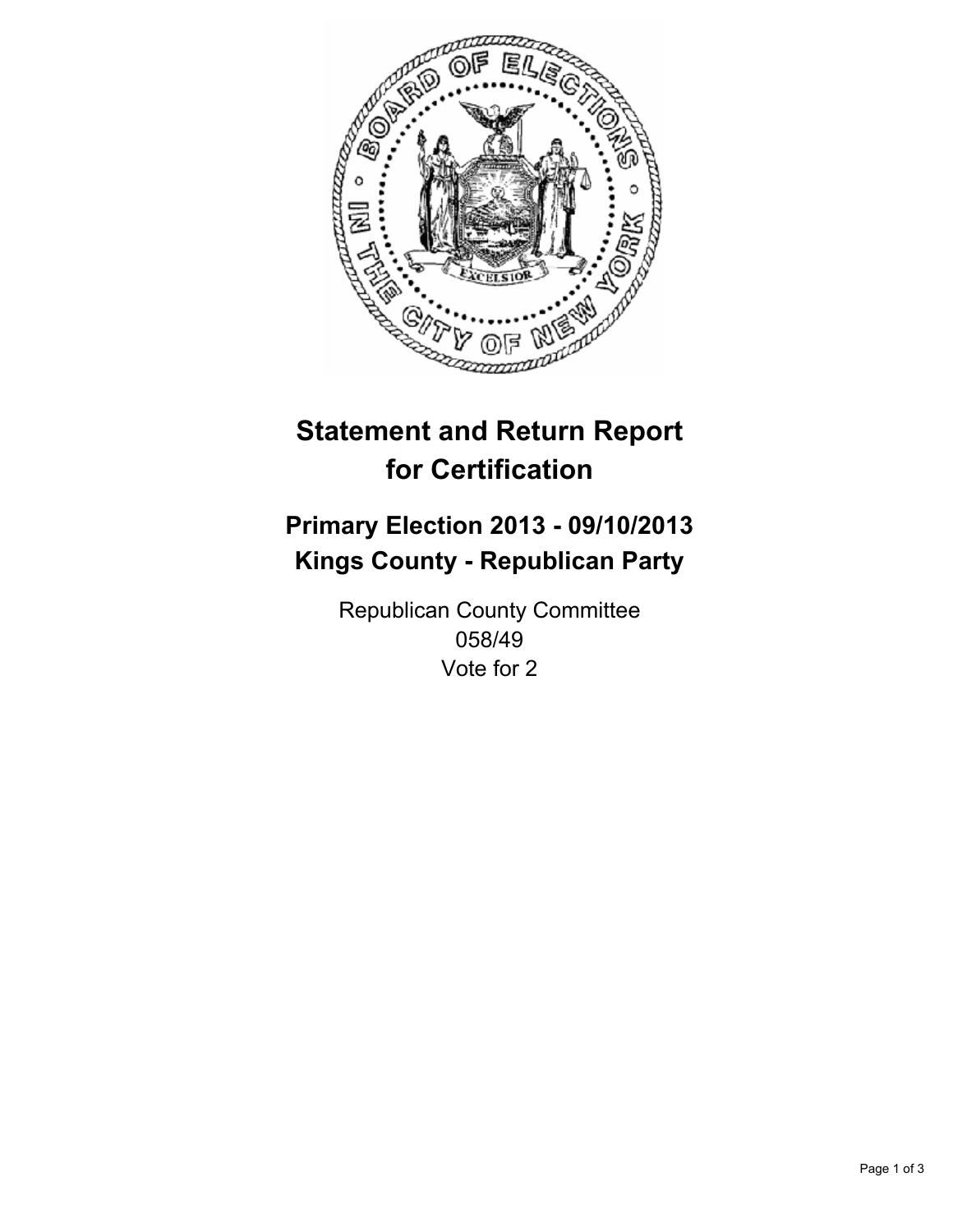

# **Statement and Return Report for Certification**

# **Primary Election 2013 - 09/10/2013 Kings County - Republican Party**

Republican County Committee 058/49 Vote for 2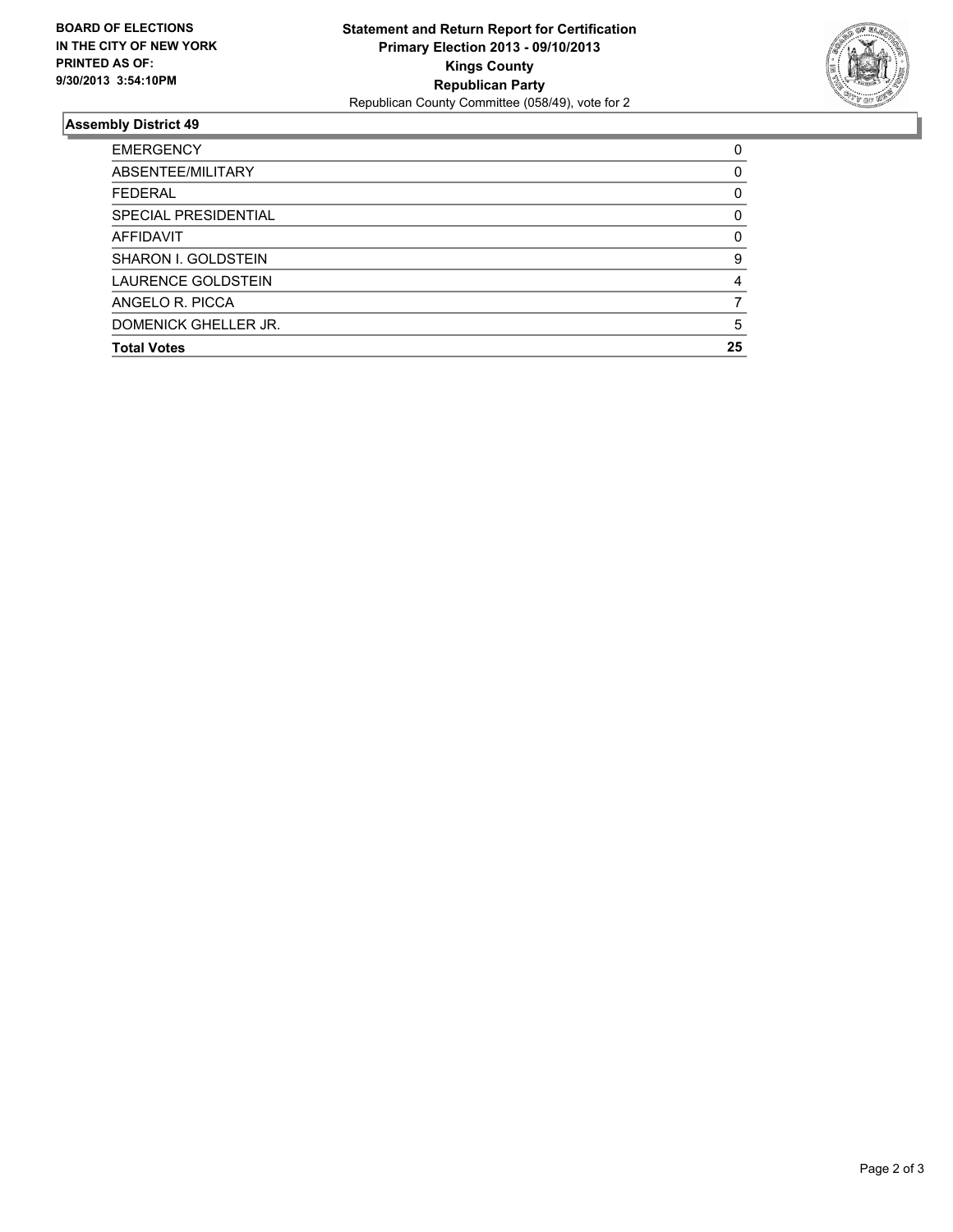

## **Assembly District 49**

| <b>EMERGENCY</b>            | 0        |
|-----------------------------|----------|
| ABSENTEE/MILITARY           | 0        |
| <b>FEDERAL</b>              | 0        |
| <b>SPECIAL PRESIDENTIAL</b> | 0        |
| <b>AFFIDAVIT</b>            | $\Omega$ |
| <b>SHARON I. GOLDSTEIN</b>  | 9        |
| LAURENCE GOLDSTEIN          | 4        |
| ANGELO R. PICCA             |          |
| DOMENICK GHELLER JR.        | 5        |
| <b>Total Votes</b>          | 25       |